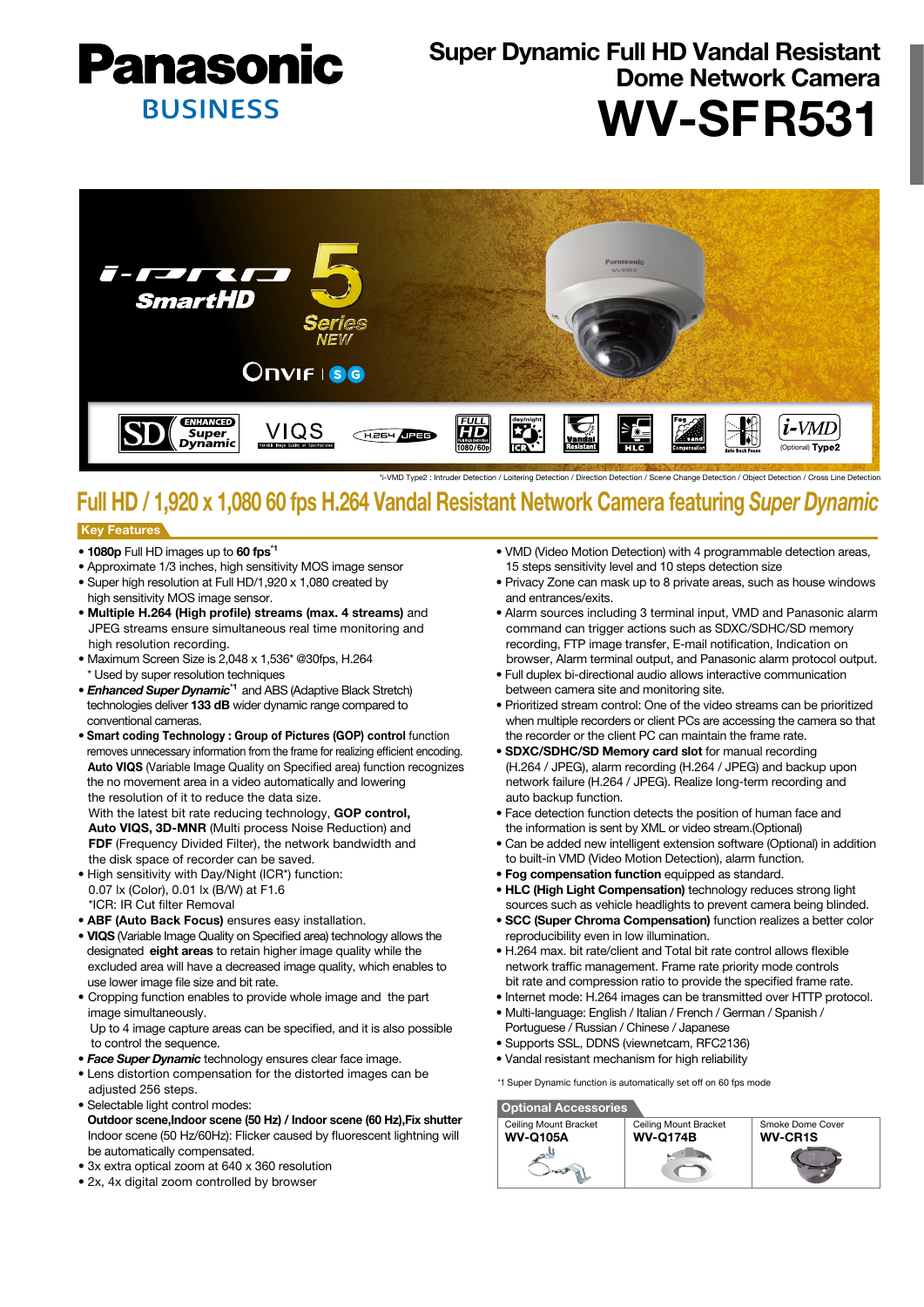

# Super Dynamic Full HD Vandal Resistant Dome Network Camera WV-SFR531



\*i-VMD Type2 : Intruder Detection / Loitering Detection / Direction Detection / Scene Change Detection / Object Detection / Cross Line Detection

## Full HD / 1,920 x 1,080 60 fps H.264 Vandal Resistant Network Camera featuring *Super Dynamic*

#### Key Features

- 1080p Full HD images up to 60 fps\*1
- Approximate 1/3 inches, high sensitivity MOS image sensor • Super high resolution at Full HD/1,920 x 1,080 created by
- high sensitivity MOS image sensor.
- Multiple H.264 (High profile) streams (max. 4 streams) and JPEG streams ensure simultaneous real time monitoring and high resolution recording.
- Maximum Screen Size is 2,048 x 1,536\* @30fps, H.264 Used by super resolution techniques
- *Enhanced Super Dynamic*\*1 and ABS (Adaptive Black Stretch) technologies deliver 133 dB wider dynamic range compared to conventional cameras.
- Smart coding Technology : Group of Pictures (GOP) control function removes unnecessary information from the frame for realizing efficient encoding. Auto VIQS (Variable Image Quality on Specified area) function recognizes the no movement area in a video automatically and lowering the resolution of it to reduce the data size.

 With the latest bit rate reducing technology, GOP control, Auto VIQS, 3D-MNR (Multi process Noise Reduction) and FDF (Frequency Divided Filter), the network bandwidth and the disk space of recorder can be saved.

- High sensitivity with Day/Night (ICR\*) function: 0.07 lx (Color), 0.01 lx (B/W) at F1.6 \*ICR: IR Cut filter Removal
- ABF (Auto Back Focus) ensures easy installation.
- VIQS (Variable Image Quality on Specified area) technology allows the designated eight areas to retain higher image quality while the excluded area will have a decreased image quality, which enables to use lower image file size and bit rate.
- Cropping function enables to provide whole image and the part image simultaneously. Up to 4 image capture areas can be specified, and it is also possible
- to control the sequence.
- *Face Super Dynamic* technology ensures clear face image.
- Lens distortion compensation for the distorted images can be adjusted 256 steps.
- Selectable light control modes: Outdoor scene,Indoor scene (50 Hz) / Indoor scene (60 Hz),Fix shutter Indoor scene (50 Hz/60Hz): Flicker caused by fluorescent lightning will be automatically compensated.
- 3x extra optical zoom at 640 x 360 resolution
- 2x, 4x digital zoom controlled by browser
- VMD (Video Motion Detection) with 4 programmable detection areas, 15 steps sensitivity level and 10 steps detection size
- Privacy Zone can mask up to 8 private areas, such as house windows and entrances/exits.
- Alarm sources including 3 terminal input, VMD and Panasonic alarm command can trigger actions such as SDXC/SDHC/SD memory recording, FTP image transfer, E-mail notification, Indication on browser, Alarm terminal output, and Panasonic alarm protocol output.
- Full duplex bi-directional audio allows interactive communication between camera site and monitoring site.
- Prioritized stream control: One of the video streams can be prioritized when multiple recorders or client PCs are accessing the camera so that the recorder or the client PC can maintain the frame rate.
- SDXC/SDHC/SD Memory card slot for manual recording (H.264 / JPEG), alarm recording (H.264 / JPEG) and backup upon network failure (H.264 / JPEG). Realize long-term recording and auto backup function.
- Face detection function detects the position of human face and the information is sent by XML or video stream.(Optional)
- Can be added new intelligent extension software (Optional) in addition to built-in VMD (Video Motion Detection), alarm function.
- Fog compensation function equipped as standard.
- HLC (High Light Compensation) technology reduces strong light sources such as vehicle headlights to prevent camera being blinded.
- SCC (Super Chroma Compensation) function realizes a better color reproducibility even in low illumination.
- H.264 max. bit rate/client and Total bit rate control allows flexible network traffic management. Frame rate priority mode controls bit rate and compression ratio to provide the specified frame rate.
- Internet mode: H.264 images can be transmitted over HTTP protocol.
- Multi-language: English / Italian / French / German / Spanish / Portuguese / Russian / Chinese / Japanese
- Supports SSL, DDNS (viewnetcam, RFC2136)
- Vandal resistant mechanism for high reliability

\*1 Super Dynamic function is automatically set off on 60 fps mode